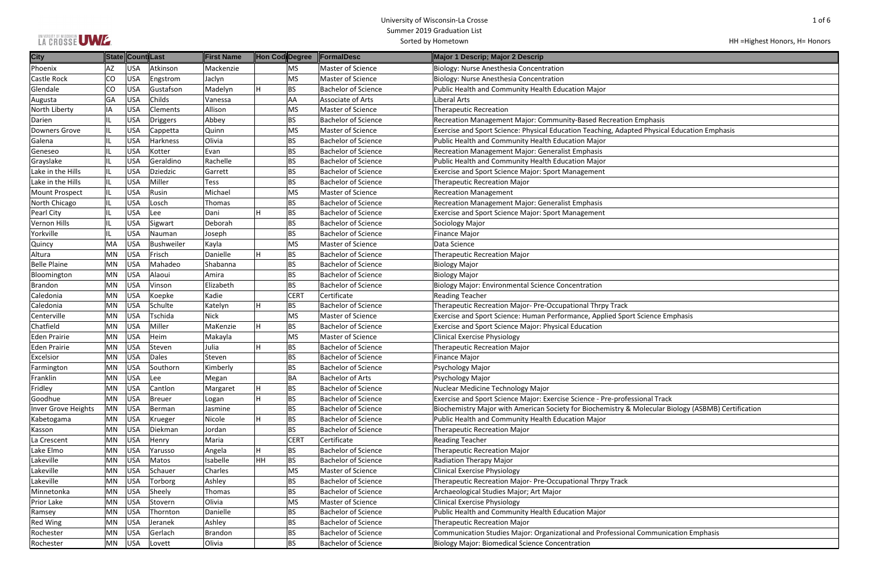## LA CROSSE UMZE

#### University of Wisconsin-La Crosse Summer 2019 Graduation List Sorted by Hometown

| $1$ of $6$                              |  |
|-----------------------------------------|--|
| HH = Highest Honors, H = Honors         |  |
|                                         |  |
|                                         |  |
|                                         |  |
|                                         |  |
|                                         |  |
| mphasis                                 |  |
| d Physical Education Emphasis           |  |
|                                         |  |
|                                         |  |
|                                         |  |
|                                         |  |
|                                         |  |
|                                         |  |
|                                         |  |
|                                         |  |
|                                         |  |
|                                         |  |
|                                         |  |
|                                         |  |
|                                         |  |
|                                         |  |
| Science Emphasis                        |  |
|                                         |  |
|                                         |  |
|                                         |  |
|                                         |  |
|                                         |  |
|                                         |  |
| ional Track                             |  |
| Iolecular Biology (ASBMB) Certification |  |
|                                         |  |
|                                         |  |
|                                         |  |
|                                         |  |
|                                         |  |
|                                         |  |

| <b>City</b>         |           | State Count Last |                   | First Name  | Hon Cod Degree |             | FormalDesc                 | Major 1 Descrip; Major 2 Descrip                                                                    |
|---------------------|-----------|------------------|-------------------|-------------|----------------|-------------|----------------------------|-----------------------------------------------------------------------------------------------------|
| Phoenix             | AZ        | USA              | Atkinson          | Mackenzie   |                | <b>MS</b>   | Master of Science          | Biology: Nurse Anesthesia Concentration                                                             |
| <b>Castle Rock</b>  | CO        | <b>USA</b>       | Engstrom          | Jaclyn      |                | <b>MS</b>   | Master of Science          | Biology: Nurse Anesthesia Concentration                                                             |
| Glendale            | CO        | USA              | Gustafson         | Madelyn     |                | <b>BS</b>   | <b>Bachelor of Science</b> | Public Health and Community Health Education Major                                                  |
| Augusta             | GA        | USA              | Childs            | Vanessa     |                | <b>AA</b>   | Associate of Arts          | Liberal Arts                                                                                        |
| North Liberty       | IA        | USA              | Clements          | Allison     |                | MS          | Master of Science          | <b>Therapeutic Recreation</b>                                                                       |
| Darien              |           | <b>USA</b>       | <b>Driggers</b>   | Abbey       |                | <b>BS</b>   | <b>Bachelor of Science</b> | Recreation Management Major: Community-Based Recreation Emphasis                                    |
| Downers Grove       |           | <b>USA</b>       | Cappetta          | Quinn       |                | <b>MS</b>   | Master of Science          | Exercise and Sport Science: Physical Education Teaching, Adapted Physical Education Emphasis        |
| Galena              |           | <b>USA</b>       | Harkness          | Olivia      |                | <b>BS</b>   | <b>Bachelor of Science</b> | Public Health and Community Health Education Major                                                  |
| Geneseo             |           | USA              | Kotter            | Evan        |                | <b>BS</b>   | <b>Bachelor of Science</b> | Recreation Management Major: Generalist Emphasis                                                    |
| Grayslake           |           | USA              | Geraldino         | Rachelle    |                | <b>BS</b>   | <b>Bachelor of Science</b> | Public Health and Community Health Education Major                                                  |
| Lake in the Hills   |           | USA              | <b>Dziedzic</b>   | Garrett     |                | <b>BS</b>   | <b>Bachelor of Science</b> | Exercise and Sport Science Major: Sport Management                                                  |
| Lake in the Hills   | IL.       | USA              | Miller            | <b>Tess</b> |                | <b>BS</b>   | <b>Bachelor of Science</b> | <b>Therapeutic Recreation Major</b>                                                                 |
| Mount Prospect      | IL        | <b>USA</b>       | Rusin             | Michael     |                | <b>MS</b>   | Master of Science          | <b>Recreation Management</b>                                                                        |
| North Chicago       |           | <b>USA</b>       | Losch             | Thomas      |                | <b>BS</b>   | <b>Bachelor of Science</b> | Recreation Management Major: Generalist Emphasis                                                    |
| Pearl City          |           | <b>USA</b>       | Lee               | Dani        |                | <b>BS</b>   | <b>Bachelor of Science</b> | <b>Exercise and Sport Science Major: Sport Management</b>                                           |
| <b>Vernon Hills</b> |           | <b>USA</b>       | Sigwart           | Deborah     |                | <b>BS</b>   | <b>Bachelor of Science</b> | Sociology Major                                                                                     |
| Yorkville           |           | USA              | Nauman            | Joseph      |                | <b>BS</b>   | <b>Bachelor of Science</b> | Finance Major                                                                                       |
| Quincy              | MA        | USA              | <b>Bushweiler</b> | Kayla       |                | MS          | Master of Science          | Data Science                                                                                        |
| Altura              | MN        | USA              | Frisch            | Danielle    |                | <b>BS</b>   | Bachelor of Science        | <b>Therapeutic Recreation Major</b>                                                                 |
| <b>Belle Plaine</b> | MN        | <b>USA</b>       | Mahadeo           | Shabanna    |                | <b>BS</b>   | <b>Bachelor of Science</b> | <b>Biology Major</b>                                                                                |
| Bloomington         | MN        | USA              | Alaoui            | Amira       |                | <b>BS</b>   | <b>Bachelor of Science</b> | <b>Biology Major</b>                                                                                |
| <b>Brandon</b>      | MN        | USA              | Vinson            | Elizabeth   |                | <b>BS</b>   | <b>Bachelor of Science</b> | <b>Biology Major: Environmental Science Concentration</b>                                           |
| Caledonia           | MN        | USA              | Koepke            | Kadie       |                | <b>CERT</b> | Certificate                | <b>Reading Teacher</b>                                                                              |
| Caledonia           | MN        | USA              | Schulte           | Katelyn     |                | <b>BS</b>   | <b>Bachelor of Science</b> | Therapeutic Recreation Major- Pre-Occupational Thrpy Track                                          |
| Centerville         | MN        | USA              | Tschida           | Nick        |                | <b>MS</b>   | Master of Science          | Exercise and Sport Science: Human Performance, Applied Sport Science Emphasis                       |
| Chatfield           | MN        | USA              | Miller            | MaKenzie    | H              | <b>BS</b>   | Bachelor of Science        | Exercise and Sport Science Major: Physical Education                                                |
| Eden Prairie        | MN        | USA              | Heim              | Makayla     |                | <b>MS</b>   | Master of Science          | <b>Clinical Exercise Physiology</b>                                                                 |
| Eden Prairie        | MN        | USA              | Steven            | Julia       |                | <b>BS</b>   | <b>Bachelor of Science</b> | <b>Therapeutic Recreation Major</b>                                                                 |
| Excelsior           | MN        | USA              | Dales             | Steven      |                | <b>BS</b>   | <b>Bachelor of Science</b> | <b>Finance Major</b>                                                                                |
| Farmington          | MN        | <b>USA</b>       | Southorn          | Kimberly    |                | <b>BS</b>   | <b>Bachelor of Science</b> | Psychology Major                                                                                    |
| Franklin            | MN        | <b>USA</b>       | Lee               | Megan       |                | <b>BA</b>   | <b>Bachelor of Arts</b>    | Psychology Major                                                                                    |
| Fridley             | MN        | USA              | Cantlon           | Margaret    |                | <b>BS</b>   | <b>Bachelor of Science</b> | Nuclear Medicine Technology Major                                                                   |
| Goodhue             | <b>MN</b> | USA              | Breuer            | Logan       |                | <b>BS</b>   | <b>Bachelor of Science</b> | Exercise and Sport Science Major: Exercise Science - Pre-professional Track                         |
| Inver Grove Heights | MN        | <b>USA</b>       | Berman            | Jasmine     |                | <b>BS</b>   | <b>Bachelor of Science</b> | Biochemistry Major with American Society for Biochemistry & Molecular Biology (ASBMB) Certification |
| Kabetogama          | MN        | <b>USA</b>       | Krueger           | Nicole      |                | <b>BS</b>   | <b>Bachelor of Science</b> | Public Health and Community Health Education Major                                                  |
| Kasson              | MN        | USA              | Diekman           | Jordan      |                | <b>BS</b>   | <b>Bachelor of Science</b> | <b>Therapeutic Recreation Major</b>                                                                 |
| La Crescent         | MN        | <b>USA</b>       | Henry             | Maria       |                | <b>CERT</b> | Certificate                | <b>Reading Teacher</b>                                                                              |
| Lake Elmo           | <b>MN</b> | USA              | Yarusso           | Angela      |                | <b>BS</b>   | <b>Bachelor of Science</b> | <b>Therapeutic Recreation Major</b>                                                                 |
| Lakeville           | ΜN        | USA              | Matos             | Isabelle    | HH             | <b>BS</b>   | Bachelor of Science        | Radiation Therapy Major                                                                             |
| Lakeville           | MN        | USA              | Schauer           | Charles     |                | MS          | Master of Science          | <b>Clinical Exercise Physiology</b>                                                                 |
| Lakeville           | MN        | USA              | Torborg           | Ashley      |                | <b>BS</b>   | <b>Bachelor of Science</b> | Therapeutic Recreation Major- Pre-Occupational Thrpy Track                                          |
| Minnetonka          | MN        | USA              | Sheely            | Thomas      |                | <b>BS</b>   | <b>Bachelor of Science</b> | Archaeological Studies Major; Art Major                                                             |
| Prior Lake          | MN        | USA              | Stovern           | Olivia      |                | <b>MS</b>   | Master of Science          | <b>Clinical Exercise Physiology</b>                                                                 |
| Ramsey              | ΜN        | <b>USA</b>       | Thornton          | Danielle    |                | <b>BS</b>   | <b>Bachelor of Science</b> | Public Health and Community Health Education Major                                                  |
| <b>Red Wing</b>     | MN        | USA              | Jeranek           | Ashley      |                | <b>BS</b>   | <b>Bachelor of Science</b> | <b>Therapeutic Recreation Major</b>                                                                 |
| Rochester           | ΜN        | <b>USA</b>       | Gerlach           | Brandon     |                | <b>BS</b>   | <b>Bachelor of Science</b> | Communication Studies Major: Organizational and Professional Communication Emphasis                 |
| Rochester           | MN        | USA              | Lovett            | Olivia      |                | <b>BS</b>   | <b>Bachelor of Science</b> | <b>Biology Major: Biomedical Science Concentration</b>                                              |
|                     |           |                  |                   |             |                |             |                            |                                                                                                     |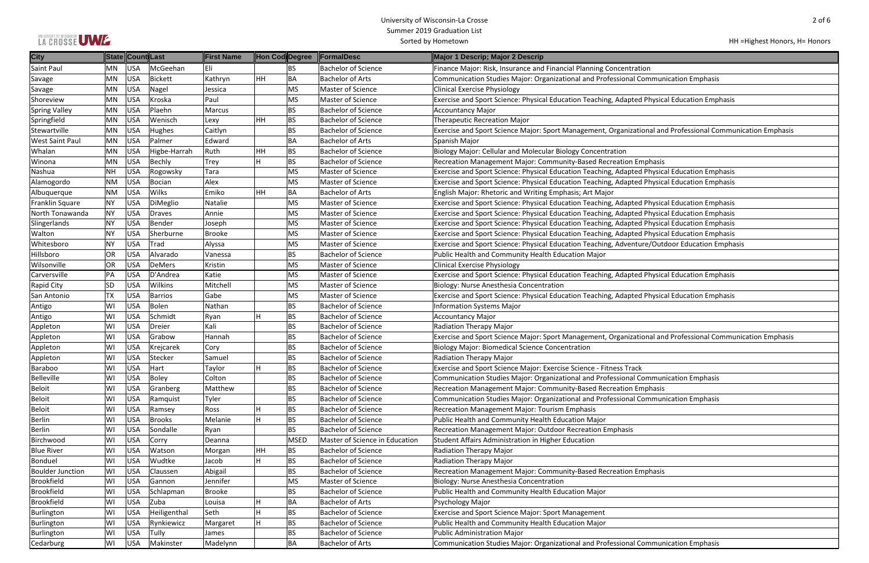|  |  |  |  | LA CROSSE UWE. |
|--|--|--|--|----------------|
|--|--|--|--|----------------|

## HH =Highest Honors, H= Honors

| tion                                          |
|-----------------------------------------------|
| <b>Communication Emphasis</b>                 |
|                                               |
| d Physical Education Emphasis                 |
|                                               |
|                                               |
|                                               |
| ional and Professional Communication Emphasis |
|                                               |
|                                               |
| mphasis                                       |
| d Physical Education Emphasis                 |
| d Physical Education Emphasis                 |
|                                               |
| d Physical Education Emphasis                 |
| d Physical Education Emphasis                 |
| d Physical Education Emphasis                 |
| d Physical Education Emphasis                 |
|                                               |
| ure/Outdoor Education Emphasis                |
|                                               |
|                                               |
| d Physical Education Emphasis                 |
|                                               |
| d Physical Education Emphasis                 |
|                                               |
|                                               |
|                                               |
| ional and Professional Communication Emphasis |
|                                               |
|                                               |
|                                               |
| k                                             |
| Communication Emphasis                        |
| mphasis                                       |
| Communication Emphasis                        |
|                                               |
|                                               |
|                                               |
|                                               |
|                                               |
|                                               |
|                                               |
| mphasis                                       |
|                                               |
|                                               |
|                                               |
|                                               |
|                                               |
|                                               |
| <b>Communication Emphasis</b>                 |
|                                               |

| <b>City</b>             |           | State Count Last |                     | <b>First Name</b> | Hon Cod Degree  | <b>FormalDesc</b>              | Major 1 Descrip; Major 2 Descrip                                                                           |
|-------------------------|-----------|------------------|---------------------|-------------------|-----------------|--------------------------------|------------------------------------------------------------------------------------------------------------|
| Saint Paul              | MN.       | <b>USA</b>       | McGeehan            | Eli               | <b>BS</b>       | <b>Bachelor of Science</b>     | Finance Major: Risk, Insurance and Financial Planning Concentration                                        |
| Savage                  | MN        | <b>USA</b>       | Bickett             | Kathryn           | HH<br><b>BA</b> | <b>Bachelor of Arts</b>        | Communication Studies Major: Organizational and Professional Communication Emphasis                        |
| Savage                  | MN        | <b>USA</b>       | Nagel               | Jessica           | MS              | Master of Science              | <b>Clinical Exercise Physiology</b>                                                                        |
| Shoreview               | <b>MN</b> | <b>USA</b>       | Kroska              | Paul              | MS              | Master of Science              | Exercise and Sport Science: Physical Education Teaching, Adapted Physical Education Emphasis               |
| <b>Spring Valley</b>    | MN        | <b>USA</b>       | Plaehn              | Marcus            | <b>BS</b>       | <b>Bachelor of Science</b>     | <b>Accountancy Major</b>                                                                                   |
| Springfield             | MN        | <b>USA</b>       | Wenisch             | Lexy              | HH<br><b>BS</b> | <b>Bachelor of Science</b>     | <b>Therapeutic Recreation Major</b>                                                                        |
| Stewartville            | MN        | <b>USA</b>       | Hughes              | Caitlyn           | <b>BS</b>       | <b>Bachelor of Science</b>     | Exercise and Sport Science Major: Sport Management, Organizational and Professional Communication Emphasis |
| <b>West Saint Paul</b>  | MN        | <b>USA</b>       | Palmer              | Edward            | <b>BA</b>       | <b>Bachelor of Arts</b>        | Spanish Major                                                                                              |
| <b>Whalan</b>           | MN        | <b>USA</b>       | Higbe-Harrah        | Ruth              | HH<br><b>BS</b> | <b>Bachelor of Science</b>     | Biology Major: Cellular and Molecular Biology Concentration                                                |
| Winona                  | MN        | <b>USA</b>       | Bechly              | <b>Trey</b>       | H<br><b>BS</b>  | <b>Bachelor of Science</b>     | Recreation Management Major: Community-Based Recreation Emphasis                                           |
| Nashua                  | <b>NH</b> | <b>USA</b>       | Rogowsky            | Tara              | MS              | Master of Science              | Exercise and Sport Science: Physical Education Teaching, Adapted Physical Education Emphasis               |
| Alamogordo              | <b>NM</b> | <b>USA</b>       | Bocian              | Alex              | MS              | Master of Science              | Exercise and Sport Science: Physical Education Teaching, Adapted Physical Education Emphasis               |
| Albuquerque             | <b>NM</b> | <b>USA</b>       | <b>Wilks</b>        | Emiko             | <b>BA</b><br>HH | <b>Bachelor of Arts</b>        | English Major: Rhetoric and Writing Emphasis; Art Major                                                    |
| Franklin Square         | NY        | <b>USA</b>       | DiMeglio            | Natalie           | MS              | Master of Science              | Exercise and Sport Science: Physical Education Teaching, Adapted Physical Education Emphasis               |
| North Tonawanda         | <b>NY</b> | <b>USA</b>       | Draves              | Annie             | MS              | Master of Science              | Exercise and Sport Science: Physical Education Teaching, Adapted Physical Education Emphasis               |
| Slingerlands            | <b>NY</b> | <b>USA</b>       | Bender              | Joseph            | MS              | Master of Science              | Exercise and Sport Science: Physical Education Teaching, Adapted Physical Education Emphasis               |
| Walton                  | <b>NY</b> | <b>USA</b>       | Sherburne           | <b>Brooke</b>     | MS              | Master of Science              | Exercise and Sport Science: Physical Education Teaching, Adapted Physical Education Emphasis               |
| Whitesboro              | <b>NY</b> | <b>USA</b>       | Trad                | Alyssa            | MS              | Master of Science              | Exercise and Sport Science: Physical Education Teaching, Adventure/Outdoor Education Emphasis              |
| Hillsboro               | OR        | <b>USA</b>       | Alvarado            | Vanessa           | <b>BS</b>       | <b>Bachelor of Science</b>     | Public Health and Community Health Education Major                                                         |
| Wilsonville             | OR        | <b>USA</b>       | <b>DeMers</b>       | Kristin           | MS              | Master of Science              | <b>Clinical Exercise Physiology</b>                                                                        |
| Carversville            | PA        | <b>USA</b>       | D'Andrea            | Katie             | MS              | Master of Science              | Exercise and Sport Science: Physical Education Teaching, Adapted Physical Education Emphasis               |
| Rapid City              | SD        | <b>USA</b>       | <b>Wilkins</b>      | Mitchell          | MS              | Master of Science              | Biology: Nurse Anesthesia Concentration                                                                    |
| San Antonio             | TX        | <b>USA</b>       | <b>Barrios</b>      | Gabe              | MS              | Master of Science              | Exercise and Sport Science: Physical Education Teaching, Adapted Physical Education Emphasis               |
| Antigo                  | WI        | <b>USA</b>       | Bolen               | Nathan            | <b>BS</b>       | <b>Bachelor of Science</b>     | <b>Information Systems Major</b>                                                                           |
| Antigo                  | WI        | <b>USA</b>       | Schmidt             | Ryan              | H<br><b>BS</b>  | <b>Bachelor of Science</b>     | <b>Accountancy Major</b>                                                                                   |
| Appleton                | WI        | <b>USA</b>       | Dreier              | Kali              | <b>BS</b>       | <b>Bachelor of Science</b>     | <b>Radiation Therapy Major</b>                                                                             |
| Appleton                | WI        | <b>USA</b>       | Grabow              | Hannah            | <b>BS</b>       | <b>Bachelor of Science</b>     | Exercise and Sport Science Major: Sport Management, Organizational and Professional Communication Emphasis |
| Appleton                | WI        | <b>USA</b>       | Krejcarek           | Cory              | <b>BS</b>       | <b>Bachelor of Science</b>     | <b>Biology Major: Biomedical Science Concentration</b>                                                     |
| Appleton                | WI        | <b>USA</b>       | Stecker             | Samuel            | <b>BS</b>       | <b>Bachelor of Science</b>     | Radiation Therapy Major                                                                                    |
| Baraboo                 | WI        | <b>USA</b>       | Hart                | Taylor            | H<br><b>BS</b>  | <b>Bachelor of Science</b>     | Exercise and Sport Science Major: Exercise Science - Fitness Track                                         |
| Belleville              | WI        | <b>USA</b>       | Boley               | Colton            | <b>BS</b>       | <b>Bachelor of Science</b>     | Communication Studies Major: Organizational and Professional Communication Emphasis                        |
| Beloit                  | WI        | <b>USA</b>       | Granberg            | Matthew           | <b>BS</b>       | <b>Bachelor of Science</b>     | Recreation Management Major: Community-Based Recreation Emphasis                                           |
| Beloit                  | WI        | <b>USA</b>       | Ramquist            | Tyler             | <b>BS</b>       | <b>Bachelor of Science</b>     | Communication Studies Major: Organizational and Professional Communication Emphasis                        |
| Beloit                  | WI        | <b>USA</b>       | Ramsey              | Ross              | H<br><b>BS</b>  | <b>Bachelor of Science</b>     | Recreation Management Major: Tourism Emphasis                                                              |
| Berlin                  | WI        | <b>USA</b>       | <b>Brooks</b>       | Melanie           | H<br><b>BS</b>  | <b>Bachelor of Science</b>     | Public Health and Community Health Education Major                                                         |
| Berlin                  | WI        | <b>USA</b>       | Sondalle            | Ryan              | <b>BS</b>       | <b>Bachelor of Science</b>     | Recreation Management Major: Outdoor Recreation Emphasis                                                   |
| Birchwood               | WI        | <b>USA</b>       | Corry               | Deanna            | <b>MSED</b>     | Master of Science in Education | Student Affairs Administration in Higher Education                                                         |
| <b>Blue River</b>       | WI        | <b>USA</b>       | Watson              | Morgan            | HH<br><b>BS</b> | <b>Bachelor of Science</b>     | <b>Radiation Therapy Major</b>                                                                             |
| Bonduel                 | WI        | <b>USA</b>       | Wudtke              | Jacob             | H<br><b>BS</b>  | <b>Bachelor of Science</b>     | <b>Radiation Therapy Major</b>                                                                             |
| <b>Boulder Junction</b> | WI        | <b>USA</b>       | Claussen            | Abigail           | <b>BS</b>       | <b>Bachelor of Science</b>     | Recreation Management Major: Community-Based Recreation Emphasis                                           |
| Brookfield              | WI        | <b>USA</b>       | Gannon              | Jennifer          | MS              | Master of Science              | Biology: Nurse Anesthesia Concentration                                                                    |
| Brookfield              | WI        | <b>USA</b>       | Schlapman           | <b>Brooke</b>     | <b>BS</b>       | <b>Bachelor of Science</b>     | Public Health and Community Health Education Major                                                         |
| Brookfield              | WI        | <b>USA</b>       | Zuba                | Louisa            | <b>BA</b><br>H  | <b>Bachelor of Arts</b>        | Psychology Major                                                                                           |
|                         | WI        | <b>USA</b>       | Heiligenthal        | Seth              | H<br><b>BS</b>  | <b>Bachelor of Science</b>     | <b>Exercise and Sport Science Major: Sport Management</b>                                                  |
| Burlington              |           |                  |                     |                   | H               | <b>Bachelor of Science</b>     |                                                                                                            |
| Burlington              | WI        | <b>USA</b>       | Rynkiewicz<br>Tully | Margaret          | <b>BS</b>       | <b>Bachelor of Science</b>     | Public Health and Community Health Education Major                                                         |
| Burlington              | W١        | <b>USA</b>       |                     | James             | BS              |                                | <b>Public Administration Major</b>                                                                         |
| Cedarburg               | W١        | <b>USA</b>       | Makinster           | Madelynn          | <b>BA</b>       | <b>Bachelor of Arts</b>        | Communication Studies Major: Organizational and Professional Communication Emphasis                        |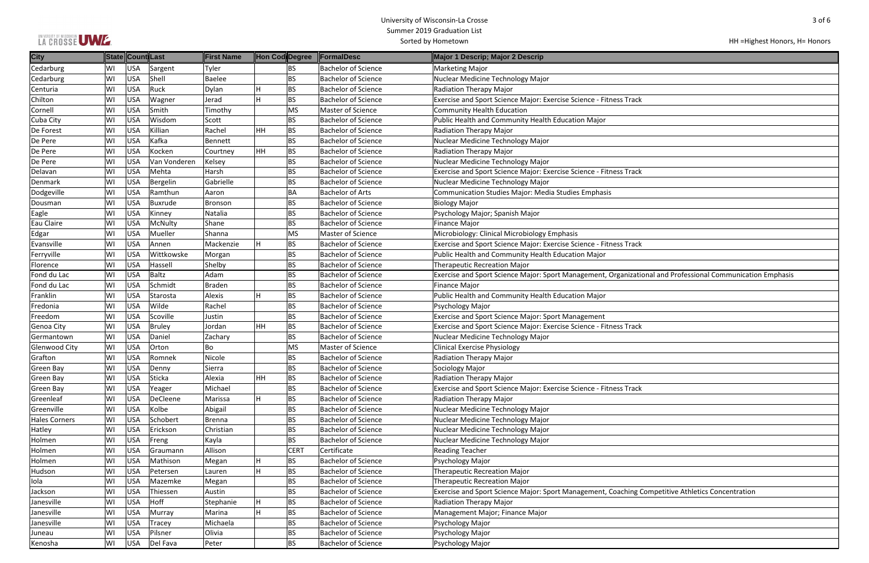|  |  |  | LA CROSSE UWE. |
|--|--|--|----------------|
|  |  |  |                |

| k                                             |
|-----------------------------------------------|
|                                               |
|                                               |
|                                               |
|                                               |
|                                               |
| k                                             |
|                                               |
|                                               |
|                                               |
|                                               |
|                                               |
|                                               |
| k                                             |
|                                               |
|                                               |
| ional and Professional Communication Emphasis |
|                                               |
|                                               |
|                                               |
|                                               |
| k                                             |
|                                               |
|                                               |
|                                               |
|                                               |
| k                                             |
|                                               |
|                                               |
|                                               |
|                                               |
|                                               |
|                                               |
|                                               |
|                                               |
|                                               |
| <b>Competitive Athletics Concentration</b>    |
|                                               |
|                                               |
|                                               |
|                                               |

HH =Highest Honors, H= Honors

| <b>City</b>          |    | State Count Last |               | <b>First Name</b> | Hon Cod Degree              | <b>FormalDesc</b>          | Major 1 Descrip; Major 2 Descrip                                                                           |
|----------------------|----|------------------|---------------|-------------------|-----------------------------|----------------------------|------------------------------------------------------------------------------------------------------------|
| Cedarburg            | WI | <b>USA</b>       | Sargent       | Tyler             | BS                          | <b>Bachelor of Science</b> | <b>Marketing Major</b>                                                                                     |
| Cedarburg            | WI | <b>USA</b>       | Shell         | <b>Baelee</b>     | <b>BS</b>                   | <b>Bachelor of Science</b> | Nuclear Medicine Technology Major                                                                          |
| Centuria             | WI | <b>USA</b>       | Ruck          | Dylan             | H<br><b>BS</b>              | <b>Bachelor of Science</b> | <b>Radiation Therapy Major</b>                                                                             |
| Chilton              | WI | <b>USA</b>       | Wagner        | Jerad             | H<br><b>BS</b>              | <b>Bachelor of Science</b> | Exercise and Sport Science Major: Exercise Science - Fitness Track                                         |
| Cornell              | WI | <b>USA</b>       | Smith         | Timothy           | MS                          | Master of Science          | <b>Community Health Education</b>                                                                          |
| Cuba City            | WI | <b>USA</b>       | Wisdom        | Scott             | <b>BS</b>                   | <b>Bachelor of Science</b> | Public Health and Community Health Education Major                                                         |
| De Forest            | WI | <b>USA</b>       | Killian       | Rachel            | HH<br><b>BS</b>             | <b>Bachelor of Science</b> | <b>Radiation Therapy Major</b>                                                                             |
| De Pere              | W١ | <b>USA</b>       | Kafka         | Bennett           | <b>BS</b>                   | <b>Bachelor of Science</b> | Nuclear Medicine Technology Major                                                                          |
| De Pere              | WI | <b>USA</b>       | Kocken        | Courtney          | HH<br><b>BS</b>             | <b>Bachelor of Science</b> | <b>Radiation Therapy Major</b>                                                                             |
| De Pere              | WI | <b>USA</b>       | Van Vonderen  | Kelsey            | <b>BS</b>                   | <b>Bachelor of Science</b> | Nuclear Medicine Technology Major                                                                          |
| Delavan              | WI | <b>USA</b>       | Mehta         | Harsh             | <b>BS</b>                   | <b>Bachelor of Science</b> | Exercise and Sport Science Major: Exercise Science - Fitness Track                                         |
| Denmark              | WI | <b>USA</b>       | Bergelin      | Gabrielle         | <b>BS</b>                   | <b>Bachelor of Science</b> | Nuclear Medicine Technology Major                                                                          |
| Dodgeville           | WI | <b>USA</b>       | Ramthun       | Aaron             | <b>BA</b>                   | <b>Bachelor of Arts</b>    | <b>Communication Studies Major: Media Studies Emphasis</b>                                                 |
| Dousman              | WI | <b>USA</b>       | Buxrude       | Bronson           | <b>BS</b>                   | <b>Bachelor of Science</b> | <b>Biology Major</b>                                                                                       |
| Eagle                | W١ | <b>USA</b>       | Kinney        | Natalia           | <b>BS</b>                   | <b>Bachelor of Science</b> | Psychology Major; Spanish Major                                                                            |
| Eau Claire           | WI | <b>USA</b>       | McNulty       | Shane             | <b>BS</b>                   | <b>Bachelor of Science</b> | Finance Major                                                                                              |
| Edgar                | WI | <b>USA</b>       | Mueller       | Shanna            | MS                          | Master of Science          | Microbiology: Clinical Microbiology Emphasis                                                               |
| Evansville           | WI | <b>USA</b>       | Annen         | Mackenzie         | ΙH.<br><b>BS</b>            | <b>Bachelor of Science</b> | Exercise and Sport Science Major: Exercise Science - Fitness Track                                         |
| Ferryville           | WI | <b>USA</b>       | Wittkowske    | Morgan            | <b>BS</b>                   | <b>Bachelor of Science</b> | Public Health and Community Health Education Major                                                         |
| <b>Florence</b>      | WI | <b>USA</b>       | Hassell       | Shelby            | <b>BS</b>                   | <b>Bachelor of Science</b> | <b>Therapeutic Recreation Major</b>                                                                        |
| Fond du Lac          | WI | <b>USA</b>       | Baltz         | Adam              | <b>BS</b>                   | <b>Bachelor of Science</b> | Exercise and Sport Science Major: Sport Management, Organizational and Professional Communication Emphasis |
| Fond du Lac          | WI | <b>USA</b>       | Schmidt       | <b>Braden</b>     | <b>BS</b>                   | <b>Bachelor of Science</b> | <b>Finance Major</b>                                                                                       |
| Franklin             | WI | <b>USA</b>       | Starosta      | Alexis            | H<br><b>BS</b>              | <b>Bachelor of Science</b> | Public Health and Community Health Education Major                                                         |
| Fredonia             | WI | <b>USA</b>       | Wilde         | Rachel            | <b>BS</b>                   | <b>Bachelor of Science</b> | Psychology Major                                                                                           |
| Freedom              | WI | <b>USA</b>       | Scoville      | Justin            | <b>BS</b>                   | <b>Bachelor of Science</b> | <b>Exercise and Sport Science Major: Sport Management</b>                                                  |
| Genoa City           | WI | <b>USA</b>       | <b>Bruley</b> | Jordan            | <b>HH</b><br><b>BS</b>      | <b>Bachelor of Science</b> | Exercise and Sport Science Major: Exercise Science - Fitness Track                                         |
| Germantown           | WI | <b>USA</b>       | Daniel        | Zachary           | <b>BS</b>                   | <b>Bachelor of Science</b> | Nuclear Medicine Technology Major                                                                          |
| Glenwood City        | WI | <b>USA</b>       | Orton         | Bo                | MS                          | Master of Science          | <b>Clinical Exercise Physiology</b>                                                                        |
| Grafton              | W١ | <b>USA</b>       | Romnek        | Nicole            | <b>BS</b>                   | <b>Bachelor of Science</b> | <b>Radiation Therapy Major</b>                                                                             |
| Green Bay            | WI | <b>USA</b>       | Denny         | Sierra            | <b>BS</b>                   | <b>Bachelor of Science</b> | Sociology Major                                                                                            |
| Green Bay            | WI | <b>USA</b>       | Sticka        | Alexia            | HH<br><b>BS</b>             | <b>Bachelor of Science</b> | <b>Radiation Therapy Major</b>                                                                             |
| Green Bay            | WI | <b>USA</b>       | Yeager        | Michael           | <b>BS</b>                   | <b>Bachelor of Science</b> | Exercise and Sport Science Major: Exercise Science - Fitness Track                                         |
| Greenleaf            | WI | <b>USA</b>       | DeCleene      | Marissa           | $\overline{H}$<br><b>BS</b> | <b>Bachelor of Science</b> | <b>Radiation Therapy Major</b>                                                                             |
| Greenville           | WI | <b>USA</b>       | Kolbe         | Abigail           | <b>BS</b>                   | <b>Bachelor of Science</b> | Nuclear Medicine Technology Major                                                                          |
| <b>Hales Corners</b> | WI | <b>USA</b>       | Schobert      | <b>Brenna</b>     | <b>BS</b>                   | <b>Bachelor of Science</b> | Nuclear Medicine Technology Major                                                                          |
| Hatley               | WI | <b>USA</b>       | Erickson      | Christian         | <b>BS</b>                   | <b>Bachelor of Science</b> | Nuclear Medicine Technology Major                                                                          |
| Holmen               | WI | <b>USA</b>       | Freng         | Kayla             | <b>BS</b>                   | <b>Bachelor of Science</b> | Nuclear Medicine Technology Major                                                                          |
| Holmen               | WI | <b>USA</b>       | Graumann      | Allison           | <b>CERT</b>                 | Certificate                | <b>Reading Teacher</b>                                                                                     |
| Holmen               | W١ | <b>USA</b>       | Mathison      | Megan             | H<br><b>BS</b>              | <b>Bachelor of Science</b> | Psychology Major                                                                                           |
| Hudson               | WI | <b>USA</b>       | Petersen      | Lauren            | H<br><b>BS</b>              | <b>Bachelor of Science</b> | <b>Therapeutic Recreation Major</b>                                                                        |
| Iola                 | WI | <b>USA</b>       | Mazemke       | Megan             | <b>BS</b>                   | <b>Bachelor of Science</b> | <b>Therapeutic Recreation Major</b>                                                                        |
| Jackson              | WI | <b>USA</b>       | Thiessen      | Austin            | <b>BS</b>                   | <b>Bachelor of Science</b> | Exercise and Sport Science Major: Sport Management, Coaching Competitive Athletics Concentration           |
| Janesville           | WI | <b>USA</b>       | Hoff          | Stephanie         | H<br><b>BS</b>              | <b>Bachelor of Science</b> | <b>Radiation Therapy Major</b>                                                                             |
| Janesville           | WI | <b>USA</b>       | Murray        | Marina            | H<br><b>BS</b>              | <b>Bachelor of Science</b> | Management Major; Finance Major                                                                            |
| Janesville           | WI | <b>USA</b>       | Tracey        | Michaela          | <b>BS</b>                   | <b>Bachelor of Science</b> | Psychology Major                                                                                           |
| Juneau               | W١ | <b>USA</b>       | Pilsner       | Olivia            | <b>BS</b>                   | <b>Bachelor of Science</b> | Psychology Major                                                                                           |
| Kenosha              | WI | <b>USA</b>       | Del Fava      | Peter             | <b>BS</b>                   | <b>Bachelor of Science</b> | Psychology Major                                                                                           |
|                      |    |                  |               |                   |                             |                            |                                                                                                            |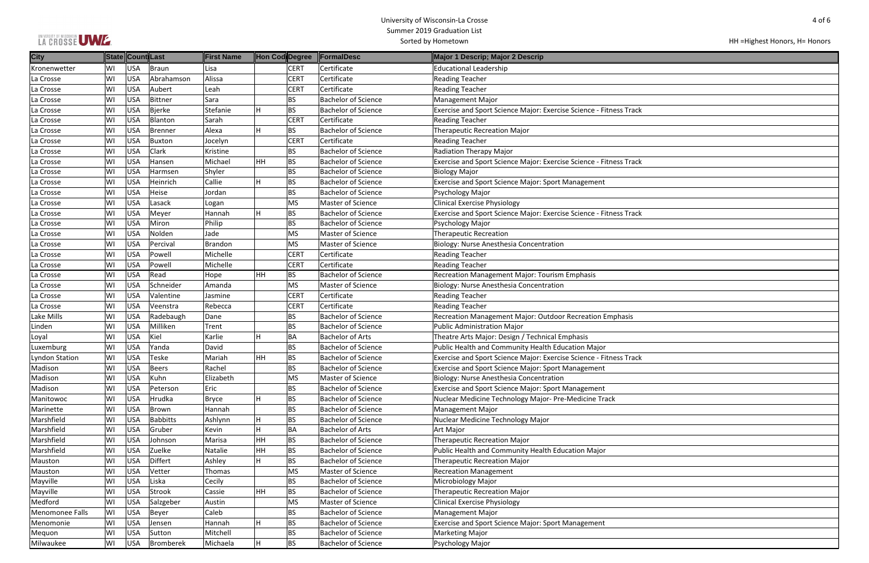| LA CROSSE UWE. |
|----------------|
|----------------|

| k |  |
|---|--|
|   |  |
|   |  |
|   |  |
|   |  |
|   |  |
|   |  |
|   |  |
| k |  |
|   |  |
|   |  |
|   |  |
|   |  |
|   |  |
|   |  |
|   |  |
| k |  |
|   |  |
|   |  |
|   |  |
|   |  |
|   |  |
|   |  |
|   |  |
|   |  |
|   |  |
|   |  |
|   |  |
|   |  |
|   |  |
|   |  |
|   |  |
|   |  |
|   |  |
|   |  |
|   |  |
|   |  |
|   |  |
|   |  |
| k |  |
|   |  |
|   |  |
|   |  |
|   |  |
|   |  |
|   |  |
|   |  |
|   |  |
|   |  |
|   |  |
|   |  |
|   |  |
|   |  |
|   |  |
|   |  |
|   |  |
|   |  |
|   |  |
|   |  |
|   |  |
|   |  |
|   |  |
|   |  |
|   |  |
|   |  |
|   |  |
|   |  |
|   |  |
|   |  |
|   |  |
|   |  |

| <b>City</b>            |     | State Count Last |                 | <b>First Name</b> | Hon Cod Degree |             | <b>FormalDesc</b>          | Major 1 Descrip; Major 2 Descrip                                   |
|------------------------|-----|------------------|-----------------|-------------------|----------------|-------------|----------------------------|--------------------------------------------------------------------|
| Kronenwetter           | lwı | <b>USA</b>       | <b>Braun</b>    | Lisa              |                | <b>CERT</b> | Certificate                | <b>Educational Leadership</b>                                      |
| La Crosse              | WI  | <b>USA</b>       | Abrahamson      | Alissa            |                | <b>CERT</b> | Certificate                | <b>Reading Teacher</b>                                             |
| La Crosse              | WI  | <b>USA</b>       | Aubert          | Leah              |                | <b>CERT</b> | Certificate                | <b>Reading Teacher</b>                                             |
| La Crosse              | WI  | <b>USA</b>       | <b>Bittner</b>  | Sara              |                | <b>BS</b>   | <b>Bachelor of Science</b> | <b>Management Major</b>                                            |
| La Crosse              | WI  | <b>USA</b>       | <b>Bjerke</b>   | Stefanie          | H              | <b>BS</b>   | <b>Bachelor of Science</b> | Exercise and Sport Science Major: Exercise Science - Fitness Track |
| La Crosse              | lwı | <b>USA</b>       | Blanton         | Sarah             |                | <b>CERT</b> | Certificate                | <b>Reading Teacher</b>                                             |
| La Crosse              | ∣wı | <b>USA</b>       | Brenner         | Alexa             | Η              | <b>BS</b>   | <b>Bachelor of Science</b> | <b>Therapeutic Recreation Major</b>                                |
| La Crosse              | WI  | <b>USA</b>       | <b>Buxton</b>   | Jocelyn           |                | <b>CERT</b> | Certificate                | <b>Reading Teacher</b>                                             |
| La Crosse              | WI  | <b>USA</b>       | Clark           | Kristine          |                | <b>BS</b>   | <b>Bachelor of Science</b> | Radiation Therapy Major                                            |
| La Crosse              | WI  | <b>USA</b>       | Hansen          | Michael           | HH             | <b>BS</b>   | <b>Bachelor of Science</b> | Exercise and Sport Science Major: Exercise Science - Fitness Track |
| La Crosse              | WI  | <b>USA</b>       | Harmsen         | Shyler            |                | <b>BS</b>   | <b>Bachelor of Science</b> | <b>Biology Major</b>                                               |
| La Crosse              | WI  | <b>USA</b>       | Heinrich        | Callie            | Η              | <b>BS</b>   | <b>Bachelor of Science</b> | <b>Exercise and Sport Science Major: Sport Management</b>          |
| La Crosse              | lwı | <b>USA</b>       | Heise           | Jordan            |                | <b>BS</b>   | <b>Bachelor of Science</b> | Psychology Major                                                   |
| La Crosse              | WI  | <b>USA</b>       | Lasack          | Logan             |                | <b>MS</b>   | Master of Science          | <b>Clinical Exercise Physiology</b>                                |
| La Crosse              | WI  | <b>USA</b>       | Meyer           | Hannah            | Η              | <b>BS</b>   | <b>Bachelor of Science</b> | Exercise and Sport Science Major: Exercise Science - Fitness Track |
| La Crosse              | WI  | <b>USA</b>       | Miron           | Philip            |                | <b>BS</b>   | Bachelor of Science        | Psychology Major                                                   |
| La Crosse              | WI  | <b>USA</b>       | Nolden          | Jade              |                | <b>MS</b>   | Master of Science          | <b>Therapeutic Recreation</b>                                      |
| La Crosse              | WI  | <b>USA</b>       | Percival        | <b>Brandon</b>    |                | <b>MS</b>   | Master of Science          | Biology: Nurse Anesthesia Concentration                            |
| La Crosse              | ∣wı | <b>USA</b>       | Powell          | Michelle          |                | <b>CERT</b> | Certificate                | <b>Reading Teacher</b>                                             |
| La Crosse              | WI  | <b>USA</b>       | Powell          | Michelle          |                | <b>CERT</b> | Certificate                | <b>Reading Teacher</b>                                             |
| La Crosse              | WI  | <b>USA</b>       | Read            | Hope              | HH             | <b>BS</b>   | <b>Bachelor of Science</b> | <b>Recreation Management Major: Tourism Emphasis</b>               |
| La Crosse              | WI  | <b>USA</b>       | Schneider       | Amanda            |                | <b>MS</b>   | Master of Science          | Biology: Nurse Anesthesia Concentration                            |
| La Crosse              | WI  | <b>USA</b>       | Valentine       | Jasmine           |                | <b>CERT</b> | Certificate                | <b>Reading Teacher</b>                                             |
| La Crosse              | WI  | <b>USA</b>       | Veenstra        | Rebecca           |                | <b>CERT</b> | Certificate                | <b>Reading Teacher</b>                                             |
| Lake Mills             | WI  | <b>USA</b>       | Radebaugh       | Dane              |                | <b>BS</b>   | <b>Bachelor of Science</b> | Recreation Management Major: Outdoor Recreation Emphasis           |
| Linden                 | WI  | <b>USA</b>       | Milliken        | Trent             |                | <b>BS</b>   | <b>Bachelor of Science</b> | Public Administration Major                                        |
| Loyal                  | WI  | <b>USA</b>       | Kiel            | Karlie            | H              | <b>BA</b>   | <b>Bachelor of Arts</b>    | Theatre Arts Major: Design / Technical Emphasis                    |
| Luxemburg              | WI  | <b>USA</b>       | Yanda           | David             |                | <b>BS</b>   | <b>Bachelor of Science</b> | Public Health and Community Health Education Major                 |
| Lyndon Station         | WI  | <b>USA</b>       | Teske           | Mariah            | HH             | <b>BS</b>   | <b>Bachelor of Science</b> | Exercise and Sport Science Major: Exercise Science - Fitness Track |
| Madison                | WI  | <b>USA</b>       | <b>Beers</b>    | Rachel            |                | <b>BS</b>   | <b>Bachelor of Science</b> | <b>Exercise and Sport Science Major: Sport Management</b>          |
| Madison                | ∣wı | <b>USA</b>       | Kuhn            | Elizabeth         |                | <b>MS</b>   | Master of Science          | Biology: Nurse Anesthesia Concentration                            |
| Madison                | WI  | <b>USA</b>       | Peterson        | Eric              |                | <b>BS</b>   | <b>Bachelor of Science</b> | <b>Exercise and Sport Science Major: Sport Management</b>          |
| Manitowoc              | WI  | <b>USA</b>       | Hrudka          | Bryce             | Н              | <b>BS</b>   | <b>Bachelor of Science</b> | Nuclear Medicine Technology Major- Pre-Medicine Track              |
| Marinette              | WI  | <b>USA</b>       | <b>Brown</b>    | Hannah            |                | <b>BS</b>   | <b>Bachelor of Science</b> | <b>Management Major</b>                                            |
| Marshfield             | WI  | <b>USA</b>       | <b>Babbitts</b> | Ashlynn           | Н              | <b>BS</b>   | <b>Bachelor of Science</b> | Nuclear Medicine Technology Major                                  |
| Marshfield             | WI  | <b>USA</b>       | Gruber          | Kevin             | H              | BA          | <b>Bachelor of Arts</b>    | <b>Art Major</b>                                                   |
| Marshfield             | WI  | <b>USA</b>       | Johnson         | Marisa            | HH             | <b>BS</b>   | <b>Bachelor of Science</b> | <b>Therapeutic Recreation Major</b>                                |
| Marshfield             | WI  | <b>USA</b>       | Zuelke          | Natalie           | HH             | <b>BS</b>   | <b>Bachelor of Science</b> | Public Health and Community Health Education Major                 |
| Mauston                | WI  | <b>USA</b>       | <b>Differt</b>  | Ashley            | H              | <b>BS</b>   | <b>Bachelor of Science</b> | <b>Therapeutic Recreation Major</b>                                |
| Mauston                | WI  | <b>USA</b>       | Vetter          | Thomas            |                | MS          | Master of Science          | <b>Recreation Management</b>                                       |
| Mayville               | WI  | <b>USA</b>       | Liska           | Cecily            |                | <b>BS</b>   | <b>Bachelor of Science</b> | Microbiology Major                                                 |
| Mayville               | WI  | <b>USA</b>       | Strook          | Cassie            | HH             | <b>BS</b>   | <b>Bachelor of Science</b> | <b>Therapeutic Recreation Major</b>                                |
| Medford                | WI  | <b>USA</b>       | Salzgeber       | Austin            |                | <b>MS</b>   | Master of Science          | <b>Clinical Exercise Physiology</b>                                |
| <b>Menomonee Falls</b> | lwı | <b>USA</b>       | Beyer           | Caleb             |                | <b>BS</b>   | <b>Bachelor of Science</b> | <b>Management Major</b>                                            |
| Menomonie              | WI  | <b>USA</b>       | Jensen          | Hannah            | Н              | <b>BS</b>   | <b>Bachelor of Science</b> | Exercise and Sport Science Major: Sport Management                 |
| Mequon                 | WI  | <b>USA</b>       | Sutton          | Mitchell          |                | <b>BS</b>   | <b>Bachelor of Science</b> | <b>Marketing Major</b>                                             |
| Milwaukee              | WI  | <b>USA</b>       | Bromberek       | Michaela          | Н              | <b>BS</b>   | <b>Bachelor of Science</b> | Psychology Major                                                   |
|                        |     |                  |                 |                   |                |             |                            |                                                                    |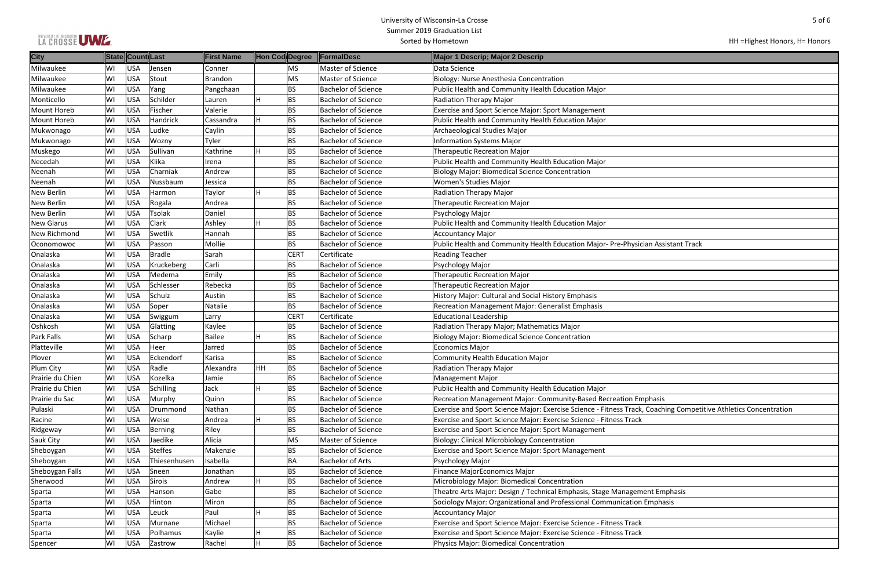|  |  |  |  | LA CROSSE UWE. |
|--|--|--|--|----------------|
|--|--|--|--|----------------|

| an Assistant Track                                  |
|-----------------------------------------------------|
|                                                     |
|                                                     |
|                                                     |
|                                                     |
|                                                     |
|                                                     |
|                                                     |
|                                                     |
|                                                     |
|                                                     |
|                                                     |
|                                                     |
|                                                     |
|                                                     |
|                                                     |
| phasis                                              |
| <b>Coaching Competitive Athletics Concentration</b> |
|                                                     |
|                                                     |
|                                                     |
|                                                     |
|                                                     |
|                                                     |
|                                                     |
| ent Emphasis                                        |
| Emphasis                                            |
|                                                     |
|                                                     |
|                                                     |
|                                                     |

## HH =Highest Honors, H= Honors

| <b>City</b>        |    | State Count Last |              | <b>First Name</b> | Hon Cod Degree |             | <b>FormalDesc</b>          | Major 1 Descrip; Major 2 Descrip                                                                                 |
|--------------------|----|------------------|--------------|-------------------|----------------|-------------|----------------------------|------------------------------------------------------------------------------------------------------------------|
| Milwaukee          | WI | <b>USA</b>       | Jensen       | Conner            |                | <b>MS</b>   | Master of Science          | Data Science                                                                                                     |
| Milwaukee          | WI | <b>USA</b>       | Stout        | <b>Brandon</b>    |                | MS          | Master of Science          | Biology: Nurse Anesthesia Concentration                                                                          |
| Milwaukee          | WI | <b>USA</b>       | Yang         | Pangchaan         |                | <b>BS</b>   | <b>Bachelor of Science</b> | Public Health and Community Health Education Major                                                               |
| Monticello         | WI | <b>USA</b>       | Schilder     | Lauren            |                | <b>BS</b>   | <b>Bachelor of Science</b> | Radiation Therapy Major                                                                                          |
| <b>Mount Horeb</b> | WI | <b>USA</b>       | Fischer      | Valerie           |                | <b>BS</b>   | <b>Bachelor of Science</b> | <b>Exercise and Sport Science Major: Sport Management</b>                                                        |
| <b>Mount Horeb</b> | WI | <b>USA</b>       | Handrick     | Cassandra         |                | <b>BS</b>   | <b>Bachelor of Science</b> | Public Health and Community Health Education Major                                                               |
| Mukwonago          | WI | <b>USA</b>       | Ludke        | Caylin            |                | <b>BS</b>   | <b>Bachelor of Science</b> | Archaeological Studies Major                                                                                     |
| Mukwonago          | WI | <b>USA</b>       | Wozny        | Tyler             |                | <b>BS</b>   | <b>Bachelor of Science</b> | <b>Information Systems Major</b>                                                                                 |
| Muskego            | WI | <b>USA</b>       | Sullivan     | Kathrine          | н              | <b>BS</b>   | <b>Bachelor of Science</b> | Therapeutic Recreation Major                                                                                     |
| Necedah            | WI | <b>USA</b>       | Klika        | Irena             |                | <b>BS</b>   | <b>Bachelor of Science</b> | Public Health and Community Health Education Major                                                               |
| Neenah             | WI | <b>USA</b>       | Charniak     | Andrew            |                | <b>BS</b>   | <b>Bachelor of Science</b> | <b>Biology Major: Biomedical Science Concentration</b>                                                           |
| Neenah             | WI | <b>USA</b>       | Nussbaum     | Jessica           |                | <b>BS</b>   | <b>Bachelor of Science</b> | <b>Women's Studies Major</b>                                                                                     |
| <b>New Berlin</b>  | WI | <b>USA</b>       | Harmon       | Taylor            | н              | <b>BS</b>   | <b>Bachelor of Science</b> | Radiation Therapy Major                                                                                          |
| <b>New Berlin</b>  | WI | <b>USA</b>       | Rogala       | Andrea            |                | <b>BS</b>   | <b>Bachelor of Science</b> | <b>Therapeutic Recreation Major</b>                                                                              |
| New Berlin         | WI | <b>USA</b>       | Tsolak       | Daniel            |                | <b>BS</b>   | <b>Bachelor of Science</b> | Psychology Major                                                                                                 |
| <b>New Glarus</b>  | WI | <b>USA</b>       | <b>Clark</b> | Ashley            | H              | <b>BS</b>   | <b>Bachelor of Science</b> | Public Health and Community Health Education Major                                                               |
| New Richmond       | WI | <b>USA</b>       | Swetlik      | Hannah            |                | <b>BS</b>   | <b>Bachelor of Science</b> | <b>Accountancy Major</b>                                                                                         |
| Oconomowoc         | WI | <b>USA</b>       | Passon       | Mollie            |                | <b>BS</b>   | <b>Bachelor of Science</b> | Public Health and Community Health Education Major-Pre-Physician Assistant Track                                 |
| Onalaska           | WI | <b>USA</b>       | Bradle       | Sarah             |                | <b>CERT</b> | Certificate                | <b>Reading Teacher</b>                                                                                           |
| Onalaska           | WI | <b>USA</b>       | Kruckeberg   | Carli             |                | <b>BS</b>   | <b>Bachelor of Science</b> | Psychology Major                                                                                                 |
| Onalaska           | WI | <b>USA</b>       | Medema       | Emily             |                | <b>BS</b>   | <b>Bachelor of Science</b> | <b>Therapeutic Recreation Major</b>                                                                              |
| Onalaska           | WI | <b>USA</b>       | Schlesser    | Rebecka           |                | <b>BS</b>   | <b>Bachelor of Science</b> | <b>Therapeutic Recreation Major</b>                                                                              |
| Onalaska           | WI | <b>USA</b>       | Schulz       | Austin            |                | <b>BS</b>   | <b>Bachelor of Science</b> | History Major: Cultural and Social History Emphasis                                                              |
| Onalaska           | WI | <b>USA</b>       | Soper        | Natalie           |                | <b>BS</b>   | <b>Bachelor of Science</b> | <b>Recreation Management Major: Generalist Emphasis</b>                                                          |
| Onalaska           | WI | <b>USA</b>       | Swiggum      | Larry             |                | <b>CERT</b> | Certificate                | <b>Educational Leadership</b>                                                                                    |
| Oshkosh            | WI | <b>USA</b>       | Glatting     | Kaylee            |                | <b>BS</b>   | <b>Bachelor of Science</b> | Radiation Therapy Major; Mathematics Major                                                                       |
| Park Falls         | WI | <b>USA</b>       | Scharp       | Bailee            | н              | <b>BS</b>   | <b>Bachelor of Science</b> | Biology Major: Biomedical Science Concentration                                                                  |
| Platteville        | WI | <b>USA</b>       | Heer         | Jarred            |                | <b>BS</b>   | <b>Bachelor of Science</b> | Economics Major                                                                                                  |
| Plover             | WI | <b>USA</b>       | Eckendorf    | Karisa            |                | <b>BS</b>   | <b>Bachelor of Science</b> | <b>Community Health Education Major</b>                                                                          |
| Plum City          | WI | <b>USA</b>       | Radle        | Alexandra         | HΗ             | <b>BS</b>   | <b>Bachelor of Science</b> | Radiation Therapy Major                                                                                          |
| Prairie du Chien   | WI | <b>USA</b>       | Kozelka      | Jamie             |                | <b>BS</b>   | <b>Bachelor of Science</b> | Management Major                                                                                                 |
| Prairie du Chien   | WI | <b>USA</b>       | Schilling    | Jack              | н              | <b>BS</b>   | <b>Bachelor of Science</b> | Public Health and Community Health Education Major                                                               |
| Prairie du Sac     | WI | <b>USA</b>       | Murphy       | Quinn             |                | <b>BS</b>   | <b>Bachelor of Science</b> | Recreation Management Major: Community-Based Recreation Emphasis                                                 |
| Pulaski            | WI | <b>USA</b>       | Drummond     | Nathan            |                | <b>BS</b>   | <b>Bachelor of Science</b> | Exercise and Sport Science Major: Exercise Science - Fitness Track, Coaching Competitive Athletics Concentration |
| Racine             | WI | <b>USA</b>       | Weise        | Andrea            | Η              | <b>BS</b>   | <b>Bachelor of Science</b> | Exercise and Sport Science Major: Exercise Science - Fitness Track                                               |
| Ridgeway           | WI | <b>USA</b>       | Berning      | Riley             |                | <b>BS</b>   | <b>Bachelor of Science</b> | <b>Exercise and Sport Science Major: Sport Management</b>                                                        |
| Sauk City          | WI | <b>USA</b>       | Jaedike      | Alicia            |                | MS          | Master of Science          | Biology: Clinical Microbiology Concentration                                                                     |
| Sheboygan          | WI | <b>USA</b>       | Steffes      | Makenzie          |                | <b>BS</b>   | <b>Bachelor of Science</b> | <b>Exercise and Sport Science Major: Sport Management</b>                                                        |
| Sheboygan          | WI | <b>USA</b>       | Thiesenhusen | Isabella          |                | <b>BA</b>   | <b>Bachelor of Arts</b>    | Psychology Major                                                                                                 |
| Sheboygan Falls    | WI | <b>USA</b>       | Sneen        | Jonathan          |                | <b>BS</b>   | <b>Bachelor of Science</b> | Finance MajorEconomics Major                                                                                     |
| Sherwood           | WI | <b>USA</b>       | Sirois       | Andrew            | н              | <b>BS</b>   | <b>Bachelor of Science</b> | Microbiology Major: Biomedical Concentration                                                                     |
| Sparta             | WI | <b>USA</b>       | Hanson       | Gabe              |                | <b>BS</b>   | <b>Bachelor of Science</b> | Theatre Arts Major: Design / Technical Emphasis, Stage Management Emphasis                                       |
| Sparta             | WI | <b>USA</b>       | Hinton       | Miron             |                | <b>BS</b>   | <b>Bachelor of Science</b> | Sociology Major: Organizational and Professional Communication Emphasis                                          |
| Sparta             | WI | <b>USA</b>       | Leuck        | Paul              | H              | <b>BS</b>   | <b>Bachelor of Science</b> | <b>Accountancy Major</b>                                                                                         |
| Sparta             | WI | <b>USA</b>       | Murnane      | Michael           |                | <b>BS</b>   | <b>Bachelor of Science</b> | Exercise and Sport Science Major: Exercise Science - Fitness Track                                               |
| Sparta             | WI | <b>USA</b>       | Polhamus     | Kaylie            | н              | <b>BS</b>   | <b>Bachelor of Science</b> | Exercise and Sport Science Major: Exercise Science - Fitness Track                                               |
| Spencer            | WI | <b>USA</b>       | Zastrow      | Rachel            | H              | <b>BS</b>   | <b>Bachelor of Science</b> | Physics Major: Biomedical Concentration                                                                          |
|                    |    |                  |              |                   |                |             |                            |                                                                                                                  |